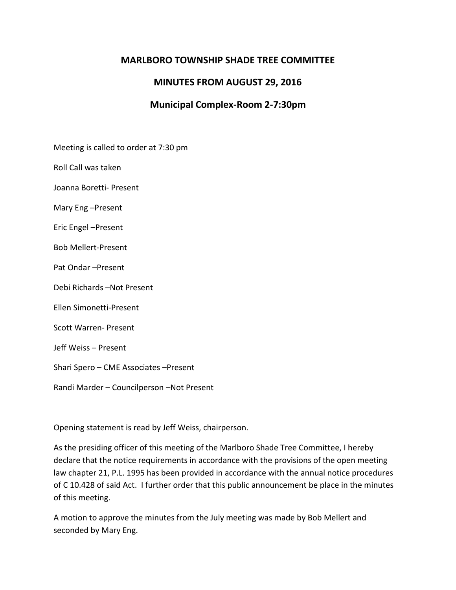### **MARLBORO TOWNSHIP SHADE TREE COMMITTEE**

# **MINUTES FROM AUGUST 29, 2016**

# **Municipal Complex-Room 2-7:30pm**

Meeting is called to order at 7:30 pm

Roll Call was taken

Joanna Boretti- Present

Mary Eng –Present

Eric Engel –Present

Bob Mellert-Present

Pat Ondar –Present

Debi Richards –Not Present

Ellen Simonetti-Present

Scott Warren- Present

Jeff Weiss – Present

Shari Spero – CME Associates –Present

Randi Marder – Councilperson –Not Present

Opening statement is read by Jeff Weiss, chairperson.

As the presiding officer of this meeting of the Marlboro Shade Tree Committee, I hereby declare that the notice requirements in accordance with the provisions of the open meeting law chapter 21, P.L. 1995 has been provided in accordance with the annual notice procedures of C 10.428 of said Act. I further order that this public announcement be place in the minutes of this meeting.

A motion to approve the minutes from the July meeting was made by Bob Mellert and seconded by Mary Eng.